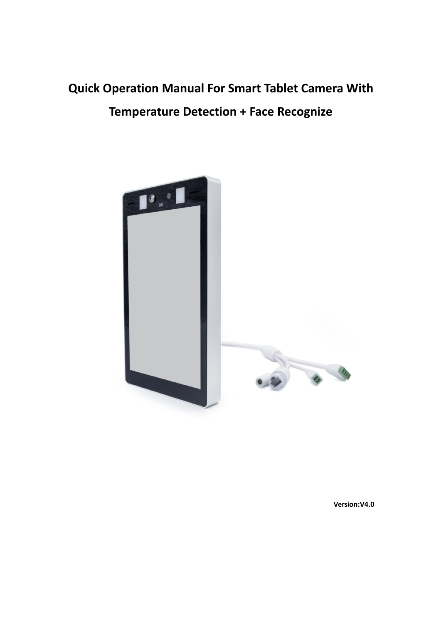# **Quick Operation Manual For Smart Tablet Camera With Temperature Detection +Face Recognize**



**Version:V4.0**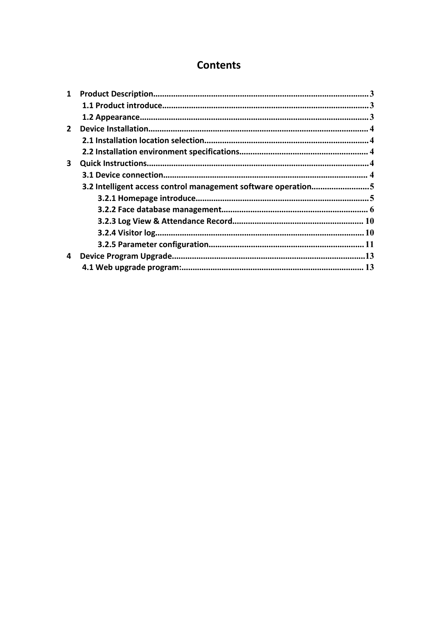# **Contents**

| 1           |                                                               |  |
|-------------|---------------------------------------------------------------|--|
|             |                                                               |  |
|             |                                                               |  |
| $2^{\circ}$ |                                                               |  |
|             |                                                               |  |
|             |                                                               |  |
| 3           |                                                               |  |
|             |                                                               |  |
|             | 3.2 Intelligent access control management software operation5 |  |
|             |                                                               |  |
|             |                                                               |  |
|             |                                                               |  |
|             |                                                               |  |
|             |                                                               |  |
|             |                                                               |  |
| 4           |                                                               |  |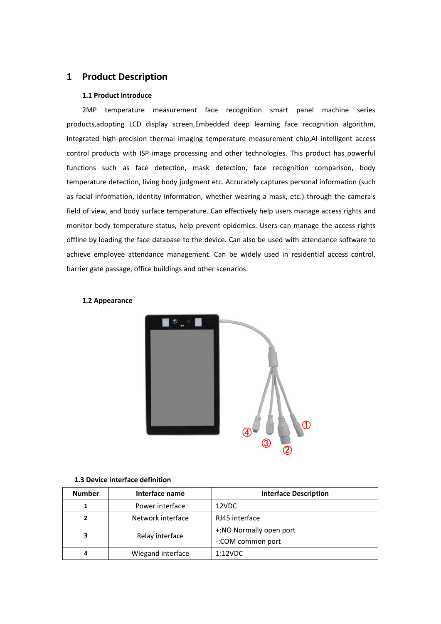# <span id="page-2-0"></span>**1 Product Description**

#### <span id="page-2-1"></span>**1.1 Product introduce**

2MP temperature measurement face recognition smart panel machine series products,adopting LCD display screen,Embedded deep learning face recognition algorithm, Integrated high-precision thermal imaging temperature measurement chip,AI intelligent access control products with ISP image processing and other technologies. This product has powerful functions such as face detection, mask detection, face recognition comparison, body temperature detection, living body judgment etc. Accurately captures personal information (such as facial information, identity information, whether wearing a mask, etc.) through the camera's field of view, and body surface temperature. Can effectively help users manage access rights and monitor body temperature status, help prevent epidemics. Users can manage the access rights offline by loading the face database to the device. Can also be used with attendance software to achieve employee attendance management. Can be widely used in residential access control, barrier gate passage, office buildings and other scenarios.



#### <span id="page-2-2"></span>**1.2 Appearance**

#### **1.3 Device interface definition**

| <b>Number</b> | Interface name    | <b>Interface Description</b> |
|---------------|-------------------|------------------------------|
|               | Power interface   | 12VDC                        |
| 2             | Network interface | RJ45 interface               |
| 3             |                   | +:NO Normally open port      |
|               | Relay interface   | -: COM common port           |
| 4             | Wiegand interface | 1:12VDC                      |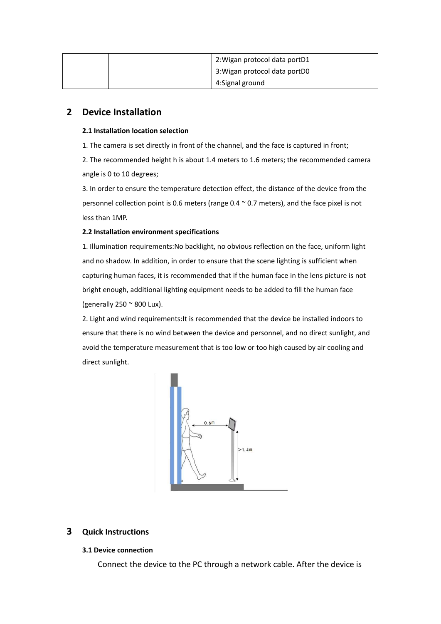| 2: Wigan protocol data portD1 |
|-------------------------------|
| 3: Wigan protocol data portD0 |
| 4:Signal ground               |

# <span id="page-3-0"></span>**2 Device Installation**

## <span id="page-3-1"></span>**2.1 Installation location selection**

1. The camera is set directly in front of the channel, and the face is captured in front;

2. The recommended height h is about 1.4 meters to 1.6 meters; the recommended camera angle is 0 to 10 degrees;

3. In order to ensure the temperature detection effect, the distance of the device from the personnel collection point is 0.6 meters (range  $0.4 \sim 0.7$  meters), and the face pixel is not less than 1MP.

## <span id="page-3-2"></span>**2.2 Installation environment specifications**

1. Illumination requirements:No backlight, no obvious reflection on the face, uniform light and no shadow. In addition, in order to ensure that the scene lighting is sufficient when capturing human faces, it is recommended that if the human face in the lens picture is not bright enough, additional lighting equipment needs to be added to fill the human face (generally  $250 \degree 800$  Lux).

2. Light and wind requirements:It is recommended that the device be installed indoors to ensure that there is no wind between the device and personnel, and no direct sunlight, and avoid the temperature measurement that is too low or too high caused by air cooling and direct sunlight.



# <span id="page-3-3"></span>**3 Quick Instructions**

## <span id="page-3-4"></span>**3.1 Device connection**

Connect the device to the PC through a network cable. After the device is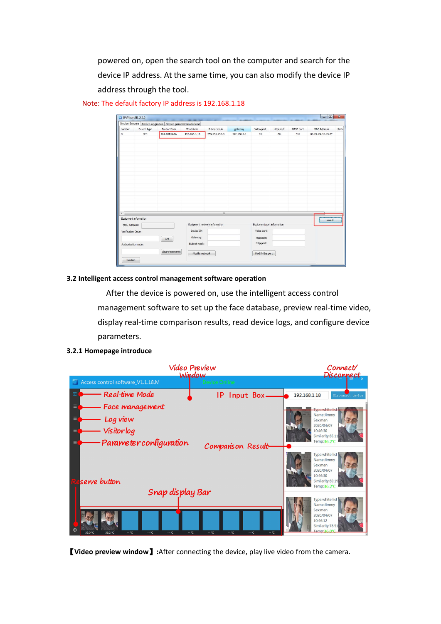powered on, open the search tool on the computer and search for the device IP address. At the same time, you can also modify the device IP address through the tool.

|                                    |                       | Device Browse Device upgrades Device parameters derived |                                |                               |             |                                                         |                  |           |                   |       |
|------------------------------------|-----------------------|---------------------------------------------------------|--------------------------------|-------------------------------|-------------|---------------------------------------------------------|------------------|-----------|-------------------|-------|
| number                             | Device type           | Product Info                                            | IP address                     | Subnet mask                   | gateway     | Video port                                              | <b>Http port</b> | RTSP port | MAC Address       | Softs |
| $\mathbf 0$                        | $_{\rm IPC}$          | IPA-D1B2A8A                                             | 192.168.1.18                   | 255.255.255.0                 | 192.168.1.1 | 90                                                      | 80               | 554       | 00-2A-2A-52-45-3E |       |
|                                    |                       |                                                         |                                |                               |             |                                                         |                  |           |                   |       |
| $\leftarrow$                       |                       |                                                         |                                | m                             |             |                                                         |                  |           |                   |       |
|                                    | Equipment information |                                                         |                                |                               |             |                                                         |                  |           | search            |       |
| MAC Address:<br>Verification Code: |                       | Get                                                     | Device IP:<br>Gateway:         | Equipment network information |             | Equipment port information<br>Video port:<br>rtsp port: |                  |           |                   |       |
| Authorization code:<br>Restart     |                       | Clear Passwords                                         | Subnet mask:<br>Modify network |                               |             | http port:<br>Modify the port                           |                  |           |                   |       |

Note: The default factory IP address is 192.168.1.18

#### <span id="page-4-0"></span>**3.2 Intelligent access control management software operation**

After the device is powered on, use the intelligent access control management software to set up the face database, preview real-time video, display real-time comparison results, read device logs, and configure device parameters.

<span id="page-4-1"></span>



【**Video preview window**】**:**After connecting the device, play live video from the camera.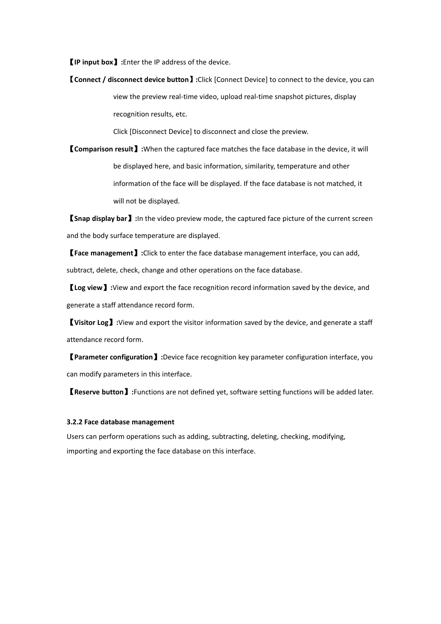【**IP input box**】**:**Enter the IP address of the device.

【**Connect / disconnect device button**】**:**Click [Connect Device] to connect to the device, you can view the preview real-time video, upload real-time snapshot pictures, display recognition results, etc.

Click [Disconnect Device] to disconnect and close the preview.

【**Comparison result**】**:**When the captured face matches the face database in the device, it will be displayed here, and basic information, similarity, temperature and other information of the face will be displayed. If the face database is not matched, it will not be displayed.

【**Snap display bar**】**:**In the video preview mode, the captured face picture of the current screen and the body surface temperature are displayed.

【**Face management**】**:**Click to enter the face database management interface, you can add, subtract, delete, check, change and other operations on the face database.

【**Log view**】**:**View and export the face recognition record information saved by the device, and generate a staff attendance record form.

【**Visitor Log**】**:**View and export the visitor information saved by the device, and generate a staff attendance record form.

【**Parameter configuration**】**:**Device face recognition key parameter configuration interface, you can modify parameters in this interface.

【**Reserve button**】**:**Functions are not defined yet, software setting functions will be added later.

#### <span id="page-5-0"></span>**3.2.2 Face database management**

Users can perform operations such as adding, subtracting, deleting, checking, modifying, importing and exporting the face database on this interface.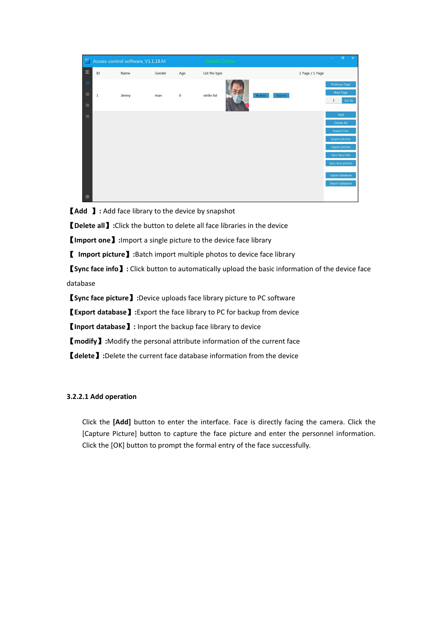

【**Add** 】**:** Add face library to the device by snapshot

【**Delete all**】**:**Click the button to delete all face libraries in the device

【**Import one**】**:**Import a single picture to the device face library

【 **Import picture**】**:**Batch import multiple photos to device face library

【**Sync face info**】**:** Click button to automatically upload the basic information of the device face database

【**Sync face picture**】**:**Device uploads face library picture to PC software

【**Export database**】**:**Export the face library to PC for backup from device

【**Inport database**】**:** Inport the backup face library to device

【**modify**】**:**Modify the personal attribute information of the current face

【**delete**】**:**Delete the current face database information from the device

## **3.2.2.1 Add operation**

Click the **[Add]** button to enter the interface. Face is directly facing the camera. Click the [Capture Picture] button to capture the face picture and enter the personnel information. Click the [OK] button to prompt the formal entry of the face successfully.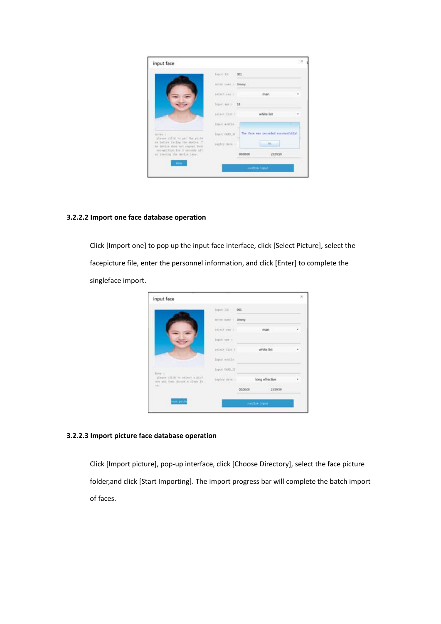|                                                                  | Input 18:                                    | 001                                   |   |
|------------------------------------------------------------------|----------------------------------------------|---------------------------------------|---|
|                                                                  |                                              |                                       |   |
|                                                                  | miter mac 1. Jimmy                           |                                       |   |
|                                                                  | <b>STATE AND RESIDENT</b><br>exist yer i     | man                                   | ٠ |
|                                                                  | <b>District Part of AM</b><br>Shout yet : 18 |                                       |   |
|                                                                  | salest list t                                | white list                            |   |
|                                                                  | Innet wontie                                 |                                       |   |
| $480188 - 1$<br>please olid to get the pictu-                    | lique CATOLITE                               | The face was recorded aucostrafiably! |   |
| as before facing the device. T<br>be device does not expect from | sigter date :                                | Dk:                                   |   |
| yenvention for 2 seconds aft<br>or leveles the medie lens.       |                                              | 235959<br>00/00/00                    |   |
| 14048                                                            |                                              |                                       |   |

# **3.2.2.2 Import one face database operation**

Click [Import one] to pop up the input face interface, click [Select Picture], select the facepicture file, enter the personnel information, and click [Enter] to complete the singleface import.

|                                    | 001                               |              |                              |
|------------------------------------|-----------------------------------|--------------|------------------------------|
| enter need in                      |                                   |              |                              |
| estect seg i                       |                                   | man          | ٠                            |
| <b>SIMPLE ROOM</b><br>Input spe in |                                   |              |                              |
| select list.t                      |                                   |              |                              |
| Import mobiling                    |                                   |              |                              |
| Travel CARD IT                     |                                   |              |                              |
| <b>STILLER</b><br>easily lists     |                                   |              |                              |
|                                    | 80,000                            | 235959       |                              |
|                                    | <b>HARRY DIST</b><br><b>START</b> | <b>Simmy</b> | white list<br>long effective |

## **3.2.2.3 Import picture face database operation**

Click [Import picture], pop-up interface, click [Choose Directory], select the face picture folder,and click [Start Importing]. The import progress bar will complete the batch import of faces.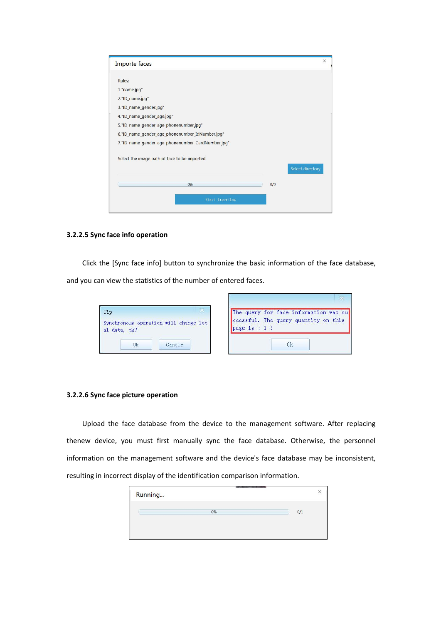| Importe faces                                     |     | ×                |
|---------------------------------------------------|-----|------------------|
|                                                   |     |                  |
| Rules:                                            |     |                  |
| 1. "name.jpg"                                     |     |                  |
| 2."ID_name.jpg"                                   |     |                  |
| 3."ID_name_gender.jpg"                            |     |                  |
| 4. ID_name_gender_age.jpg"                        |     |                  |
| 5."ID_name_gender_age_phonenumber.jpg"            |     |                  |
| 6."ID_name_gender_age_phonenumber_IdNumber.jpg"   |     |                  |
| 7."ID_name_gender_age_phonenumber_CardNumber.jpg" |     |                  |
| Select the image path of face to be imported:     |     |                  |
|                                                   |     | Select directory |
| 0%                                                | 0/0 |                  |
| Start importing                                   |     |                  |

#### **3.2.2.5 Sync face info operation**

Click the [Sync face info] button to synchronize the basic information of the face database,

and you can view the statistics of the number of entered faces.

| Tip |              |                                       |  |
|-----|--------------|---------------------------------------|--|
|     |              | Synchronous operation will change loc |  |
|     | al data, ok? |                                       |  |
|     |              |                                       |  |
|     |              | Cancle                                |  |

|                 | The query for face information was su |
|-----------------|---------------------------------------|
|                 | ccessful. The query quantity on this  |
| page is $: 1$ ! |                                       |

## **3.2.2.6 Sync face picture operation**

Upload the face database from the device to the management software. After replacing thenew device, you must first manually sync the face database. Otherwise, the personnel information on the management software and the device's face database may be inconsistent, resulting in incorrect display of the identification comparison information.

| Running |    |     |
|---------|----|-----|
|         | 0% | 0/1 |
|         |    |     |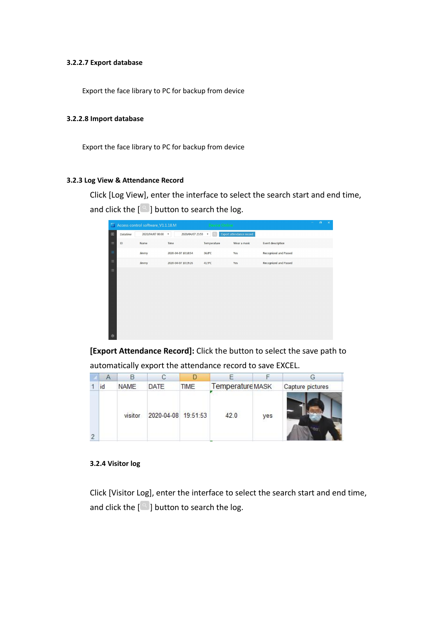#### **3.2.2.7 Export database**

Export the face library to PC for backup from device

#### **3.2.2.8 Import database**

Export the face library to PC for backup from device

#### <span id="page-9-0"></span>**3.2.3 Log View & Attendance Record**

Click [Log View], enter the interface to select the search start and end time, and click the  $\lceil \frac{a}{b} \rceil$  button to search the log.

| E.                                                                                                                                                                           |            | Access control software_V1.1.18.M |                                               | Device Online             |                                 |                       | $\sigma$ | $\times$ |
|------------------------------------------------------------------------------------------------------------------------------------------------------------------------------|------------|-----------------------------------|-----------------------------------------------|---------------------------|---------------------------------|-----------------------|----------|----------|
| $\begin{array}{c} \begin{array}{c} \begin{array}{c} \begin{array}{c} \begin{array}{c} \end{array}\\ \end{array} \end{array} \end{array} \end{array} \end{array} \end{array}$ | Datatime   | 2020/04/07 00:00                  | 2020/04/07 23:59<br>$\boldsymbol{\mathrm{v}}$ | $\boldsymbol{\mathrm{v}}$ | <b>Export attendance record</b> |                       |          |          |
| $\equiv$                                                                                                                                                                     | ${\rm ID}$ | Name                              | Time                                          | Temperature               | Wear a mask                     | Event description     |          |          |
| $\equiv$                                                                                                                                                                     |            | Jimmy                             | 2020-04-07 10:10:54                           | 36.8°C                    | Yes                             | Recognized and Passed |          |          |
| $\equiv$                                                                                                                                                                     |            | Jimmy                             | 2020-04-07 10:19:26                           | 41.9°C                    | Yes                             | Recognized and Passed |          |          |
| $\equiv$<br>Ø                                                                                                                                                                |            |                                   |                                               |                           |                                 |                       |          |          |

**[Export Attendance Record]:** Click the button to select the save path to

| Α  |             | С                   |      |                  |     |                  |
|----|-------------|---------------------|------|------------------|-----|------------------|
| id | <b>NAME</b> | DATE                | TIME | Temperature MASK |     | Capture pictures |
|    | visitor     | 2020-04-08 19:51:53 |      | 42.0             | yes |                  |

automatically export the attendance record to save EXCEL.

#### <span id="page-9-1"></span>**3.2.4 Visitor log**

Click [Visitor Log], enter the interface to select the search start and end time, and click the  $[$   $\degree$  ] button to search the log.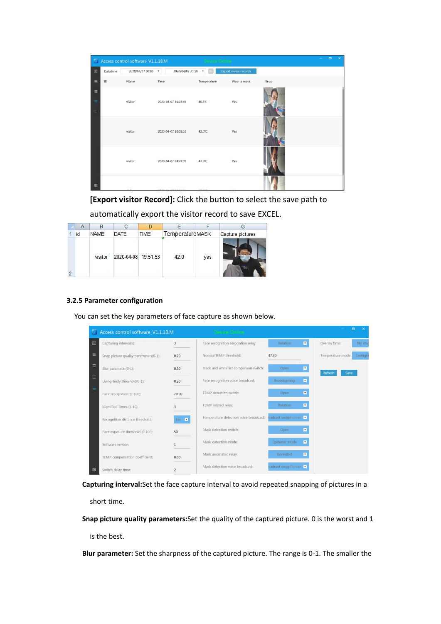| z.                                    |          | Access control software_V1.1.18.M |                                               | Device Online                        |                               |      | ٠ | $\sigma$ | $\boldsymbol{\times}$ |
|---------------------------------------|----------|-----------------------------------|-----------------------------------------------|--------------------------------------|-------------------------------|------|---|----------|-----------------------|
| $\begin{array}{c} \hline \end{array}$ | Datatime | 2020/04/07 00:00                  | 2020/04/07 23:59<br>$\boldsymbol{\mathrm{v}}$ | $\boldsymbol{\mathrm{v}}$<br>$\circ$ | <b>Export visitor records</b> |      |   |          |                       |
| Ξ                                     | ID       | Name                              | Time                                          | Temperature                          | Wear a mask                   | Snap |   |          |                       |
| $\equiv$<br>Ξ<br>$\equiv$             |          | visitor                           | 2020-04-07 10:08:35                           | 40.3°C                               | Yes                           |      |   |          |                       |
|                                       |          | visitor                           | 2020-04-07 10:08:16                           | 42.0°C                               | Yes                           |      |   |          |                       |
|                                       |          | visitor                           | 2020-04-07 08:28:35                           | 42.0°C                               | Yes                           |      |   |          |                       |
| Ø                                     |          |                                   |                                               |                                      |                               |      |   |          |                       |

**[Export visitor Record]:** Click the button to select the save path to

automatically export the visitor record to save EXCEL.

| A  |             |                     |             |                  |     | G                |
|----|-------------|---------------------|-------------|------------------|-----|------------------|
| id | <b>NAME</b> | DATE                | <b>TIME</b> | Temperature MASK |     | Capture pictures |
|    | visitor     | 2020-04-08 19:51:53 |             | 42.0             | yes |                  |

## <span id="page-10-0"></span>**3.2.5 Parameter configuration**

You can set the key parameters of face capture as shown below.

|          | Access control software V1.1.18.M     |                            | Device Online                           |                        |                         | n                 | $\times$ |
|----------|---------------------------------------|----------------------------|-----------------------------------------|------------------------|-------------------------|-------------------|----------|
| 圖        | Capturing interval(s):                | $\overline{3}$             | Face recognition association relay:     | Relation               | $\overline{\mathbf{x}}$ | Overlay time:     | No star  |
| Ξ        | Snap picture quality parameters(0-1): | 0.70                       | Normal TEMP threshold:                  | 37.30                  |                         | Temperature mode: | Centigra |
| 三        | Blur parameter(0-1):                  | 0.30                       | Black and white list comparison switch: | Open                   | ×                       | Refresh<br>Save   |          |
| $\equiv$ | Living-body threshold(0-1):           | 0.20                       | Face recognition voice broadcast:       | Broadcasting           | $\blacksquare$          |                   |          |
| ≡        | Face recognition (0-100):             | 70.00                      | TEMP detection switch:                  | Open                   | $\overline{\mathbf{x}}$ |                   |          |
|          | Identified Times (1-10):              | $\overline{3}$             | TEMP related relay:                     | Relation               | ×                       |                   |          |
|          | Recognition distance threshold:       | $1m$ $\blacktriangleright$ | Temperature detection voice broadcast:  | oadcast exception or v |                         |                   |          |
|          | Face exposure threshold (0-100):      | 50                         | Mask detection switch:                  | Open                   | ×                       |                   |          |
|          | Software version:                     | $\mathbf{1}$               | Mask detection mode:                    | Epidemic mode          | $\overline{\mathbf{x}}$ |                   |          |
|          | TEMP compensation coefficient:        | 0.00                       | Mask associated relay:                  | Unrelated              | $\overline{\mathbf{x}}$ |                   |          |
| গু       | Switch delay time:                    | $\overline{2}$             | Mask detection voice broadcast:         | oadcast exception or v |                         |                   |          |

**Capturing interval:**Set the face capture interval to avoid repeated snapping of pictures in a

short time.

**Snap picture quality parameters:**Set the quality of the captured picture. 0 is the worst and 1

is the best.

**Blur parameter:** Set the sharpness of the captured picture. The range is 0-1. The smaller the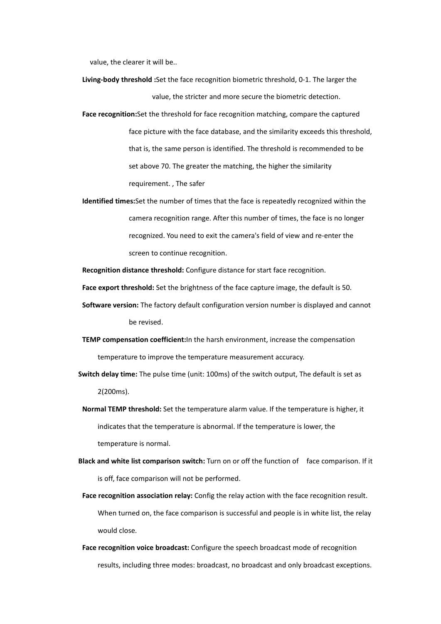value, the clearer it will be..

- **Living-body threshold :**Set the face recognition biometric threshold, 0-1. The larger the value, the stricter and more secure the biometric detection.
- **Face recognition:**Set the threshold for face recognition matching, compare the captured face picture with the face database, and the similarity exceeds this threshold, that is, the same person is identified.The threshold is recommended to be set above 70. The greater the matching, the higher the similarity requirement. , The safer
- **Identified times:**Set the number of times that the face is repeatedly recognized within the camera recognition range. After this number of times, the face is no longer recognized. You need to exit the camera's field of view and re-enter the screen to continue recognition.

**Recognition distance threshold:** Configure distance for start face recognition.

Face export threshold: Set the brightness of the face capture image, the default is 50.

- **Software version:** The factory default configuration version number is displayed and cannot be revised.
- **TEMP compensation coefficient:**In the harsh environment, increase the compensation temperature to improve the temperature measurement accuracy.
- **Switch delay time:** The pulse time (unit: 100ms) of the switch output, The default is set as 2(200ms).
- **Normal TEMP threshold:** Set the temperature alarm value. If the temperature is higher, it indicates that the temperature is abnormal. If the temperature is lower, the temperature is normal.
- **Black and white list comparison switch:** Turn on or off the function of face comparison. If it is off, face comparison will not be performed.
	- **Face recognition association relay:** Config the relay action with the face recognition result. When turned on, the face comparison is successful and people is in white list, the relay would close.
	- **Face recognition voice broadcast:** Configure the speech broadcast mode of recognition results, including three modes: broadcast, no broadcast and only broadcast exceptions.